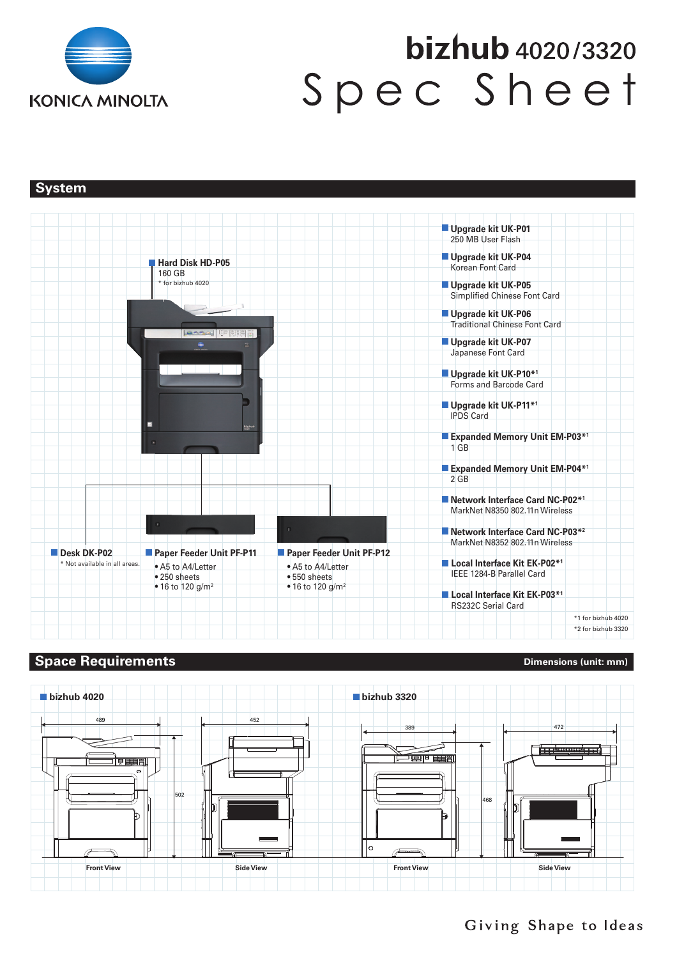

# bizhub 4020/3320 Spec Sheet

**System** 



# **Space Requirements Constant Constant Constant Constant Constant Constant Constant Constant Constant Constant Constant Constant Constant Constant Constant Constant Constant Constant Constant Constant Constant Constant Co**



Giving Shape to Ideas